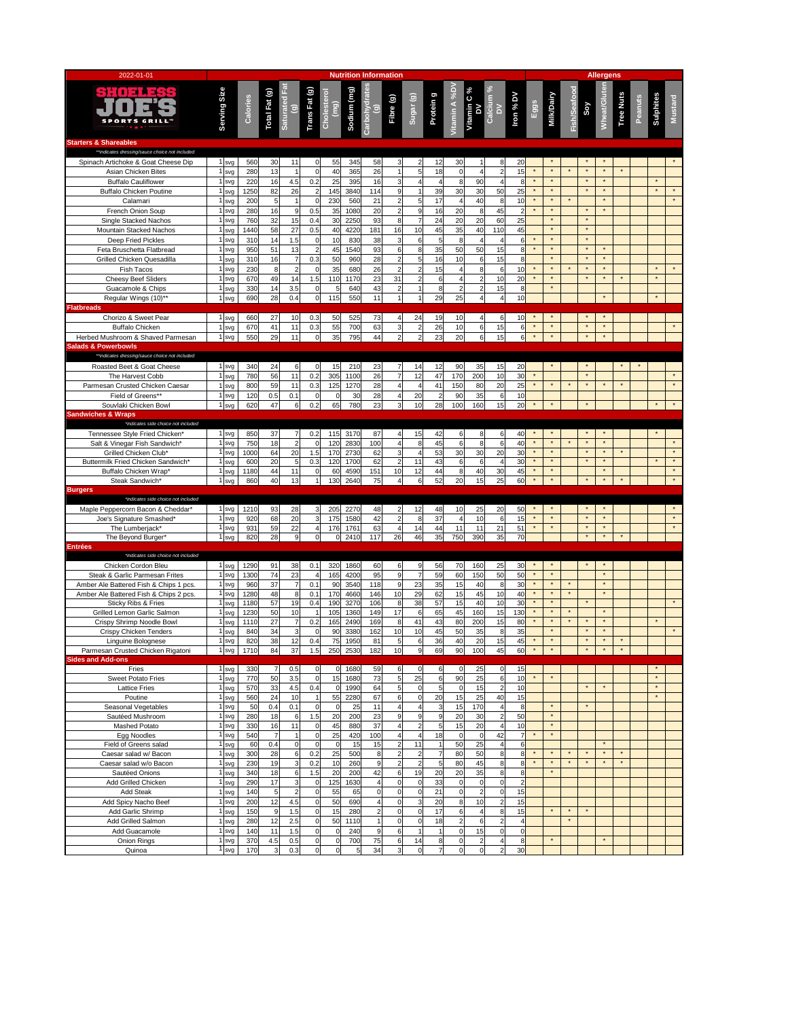| 2022-01-01                                                                            | <b>Nutrition Information</b> |             |                |                                        |                         |                              |              |                                      |                                            |                                    |                                  |                              |                                      | <b>Allergens</b>                       |                         |                     |                    |                     |                      |                     |                  |         |           |                    |
|---------------------------------------------------------------------------------------|------------------------------|-------------|----------------|----------------------------------------|-------------------------|------------------------------|--------------|--------------------------------------|--------------------------------------------|------------------------------------|----------------------------------|------------------------------|--------------------------------------|----------------------------------------|-------------------------|---------------------|--------------------|---------------------|----------------------|---------------------|------------------|---------|-----------|--------------------|
| <b>SPORTS GRIL</b>                                                                    | Serving Size                 | Calories    | Total Fat (g)  | Saturated Fa<br>$\widehat{\mathbf{e}}$ | Trans Fat (g)           | Cholestero<br>$\binom{9}{5}$ | Sodium (mg)  | Carbohydra<br>$\widehat{\mathbf{e}}$ | Fibre (g)                                  | Sugar <sub>(g)</sub>               | Protein g                        | itamin A %D                  | Vitamin C %<br>DV                    | Calcium <sup>%</sup><br>$\geq$         | Iron % DV               | Eggs                | Milk/Dairy         | <b>Fish/Seafood</b> | Soy                  | Mheat/Glut          | <b>Tree Nuts</b> | Peanuts | Sulphites | <b>Mustard</b>     |
| <b>Starters &amp; Shareables</b>                                                      |                              |             |                |                                        |                         |                              |              |                                      |                                            |                                    |                                  |                              |                                      |                                        |                         |                     |                    |                     |                      |                     |                  |         |           |                    |
| **indicates dressing/sauce choice not included<br>Spinach Artichoke & Goat Cheese Dip | svg<br>svg                   | 560<br>280  | 30<br>13       | 11                                     | 0<br>0                  | 55<br>40                     | 345<br>365   | 58<br>26                             | 3                                          | $\overline{2}$<br>5                | 12<br>18                         | 30<br>0                      | $\overline{\mathbf{r}}$              | 8<br>$\overline{c}$                    | 20<br>15                |                     | $\star$            |                     | $\star$              | $^\star$            |                  |         |           |                    |
| Asian Chicken Bites<br><b>Buffalo Cauliflower</b>                                     | svg                          | 220         | 16             | 4.5                                    | 0.2                     | 25                           | 395          | 16                                   | 3                                          | 4                                  | $\overline{4}$                   | 8                            | 90                                   | 4                                      | 8                       | $\star$             |                    |                     | $^\star$             | $^\star$            |                  |         |           |                    |
| <b>Buffalo Chicken Poutine</b>                                                        | svg                          | 1250        | 82             | 26                                     |                         | 145                          | 3840         | 114                                  | 9                                          |                                    | 39                               | 30                           | 30                                   | 50                                     | 25                      | $\star$             |                    |                     | $\star$              | $\star$             |                  |         |           |                    |
| Calamari                                                                              | svg                          | 200         | 5              | $\overline{1}$                         | $\pmb{0}$               | 230                          | 560          | 21                                   | $\overline{c}$                             | 5                                  | 17                               | 4                            | 40                                   | 8                                      | 10                      |                     |                    |                     |                      |                     |                  |         |           |                    |
| French Onion Soup                                                                     | svg                          | 280         | 16             | 9                                      | 0.5                     | 35                           | 1080         | 20                                   | $\overline{2}$                             | 9                                  | 16                               | 20                           | 8                                    | 45                                     | $\overline{2}$          | $\star$             | $\star$            |                     | $\star$              | $\star$             |                  |         |           |                    |
| Single Stacked Nachos<br>Mountain Stacked Nachos                                      | svg<br>svg                   | 760<br>1440 | 32<br>58       | 15<br>27                               | 0.4<br>0.5              | 30<br>40                     | 2250<br>4220 | 93<br>181                            | 8<br>16                                    | $\overline{7}$<br>10               | 24<br>45                         | 20<br>35                     | 20<br>40                             | 60<br>110                              | 25<br>45                |                     | $\star$            |                     | $\star$              |                     |                  |         |           |                    |
| Deep Fried Pickles                                                                    | svg                          | 310         | 14             | 1.5                                    | $\mathbf 0$             | 10                           | 830          | 38                                   | 3                                          | 6                                  | 5                                | 8                            | $\overline{4}$                       | $\overline{4}$                         | 6                       |                     |                    |                     | $^\star$             |                     |                  |         |           |                    |
| Feta Bruschetta Flatbread                                                             | svg                          | 950         | 51             | 13                                     | $\overline{2}$          | 45                           | 1540         | 93                                   | 6                                          | 8                                  | 35                               | 50                           | 50                                   | 15                                     | 8                       | $\star$             |                    |                     | $\star$              |                     |                  |         |           |                    |
| Grilled Chicken Quesadilla                                                            | svg                          | 310         | 16             | $\overline{7}$                         | 0.3                     | 50                           | 960          | 28                                   | $\overline{c}$                             | 5                                  | 16                               | 10                           | 6                                    | 15                                     | 8                       |                     |                    |                     | $^\star$<br>$\star$  |                     |                  |         |           |                    |
| Fish Tacos<br>Cheesy Beef Sliders                                                     | svg<br>svg                   | 230<br>670  | 8<br>49        | $\overline{\mathbf{c}}$<br>14          | 0<br>1.5                | 35<br>110                    | 680<br>1170  | 26<br>23                             | $\overline{2}$<br>31                       | $\overline{2}$<br>$\overline{2}$   | 15<br>6                          | 4<br>$\overline{\mathbf{4}}$ | 8<br>$\overline{2}$                  | 6<br>10                                | 10<br>20                |                     |                    |                     | $\star$              | $\star$             |                  |         |           |                    |
| Guacamole & Chips                                                                     | svg                          | 330         | 14             | 3.5                                    | $\pmb{0}$               | 5                            | 640          | 43                                   | $\overline{2}$                             | 1                                  | 8                                | $\overline{c}$               | $\overline{2}$                       | 15                                     | 8                       |                     | $\star$            |                     |                      |                     |                  |         |           |                    |
| Regular Wings (10)**                                                                  | svo                          | 690         | 28             | 0.4                                    | $\mathbf 0$             | 115                          | 550          | 11                                   | $\overline{1}$                             | 1                                  | 29                               | 25                           | 4                                    | $\overline{4}$                         | 10                      |                     |                    |                     |                      | $\star$             |                  |         |           |                    |
| <b>Flatbreads</b>                                                                     |                              |             |                |                                        |                         |                              |              |                                      |                                            |                                    |                                  |                              |                                      |                                        |                         |                     |                    |                     |                      |                     |                  |         |           |                    |
| Chorizo & Sweet Pear<br><b>Buffalo Chicken</b>                                        | 1 svg                        | 660<br>670  | 27<br>41       | 10<br>11                               | 0.3<br>0.3              | 50<br>55                     | 525<br>700   | 73<br>63                             | $\overline{4}$<br>3                        | 24                                 | 19<br>26                         | 10<br>10                     | $\overline{4}$                       | 6<br>15                                | 10                      | $\star$             |                    |                     |                      |                     |                  |         |           |                    |
| Herbed Mushroom & Shaved Parmesan                                                     | svg<br>1 svg                 | 550         | 29             | 11                                     | $\mathbf 0$             | 35                           | 795          | 44                                   | $\overline{2}$                             | $\boldsymbol{2}$<br>$\overline{2}$ | 23                               | 20                           | 6<br>6                               | 15                                     | 6<br>6                  | $\star$             |                    |                     | $\star$              | $\star$             |                  |         |           |                    |
| <b>Salads &amp; Powerbowls</b>                                                        |                              |             |                |                                        |                         |                              |              |                                      |                                            |                                    |                                  |                              |                                      |                                        |                         |                     |                    |                     |                      |                     |                  |         |           |                    |
| **indicates dressing/sauce choice not included                                        |                              |             |                |                                        |                         |                              |              |                                      |                                            |                                    |                                  |                              |                                      |                                        |                         |                     |                    |                     |                      |                     |                  |         |           |                    |
| Roasted Beet & Goat Cheese                                                            | 1 svg                        | 340         | 24             | 6                                      | $\mathbf 0$             | 15                           | 210          | 23                                   | $\overline{7}$                             | 14                                 | 12                               | 90                           | 35                                   | 15                                     | 20                      | $\star$             |                    |                     | $\star$<br>$\star$   |                     |                  |         |           |                    |
| The Harvest Cobb<br>Parmesan Crusted Chicken Caesar                                   | svg<br>svg                   | 780<br>800  | 56<br>59       | 11<br>11                               | 0.2<br>0.3              | 305<br>125                   | 1100<br>1270 | 26<br>28                             | $\overline{\phantom{a}}$<br>$\overline{4}$ | 12<br>4                            | 47<br>41                         | 170<br>150                   | 200<br>80                            | 10<br>20                               | 30<br>25                |                     |                    |                     | $\star$              |                     |                  |         |           |                    |
| Field of Greens**                                                                     | svg                          | 120         | 0.5            | 0.1                                    | $\pmb{0}$               |                              | 30           | 28                                   | 4                                          | 20                                 | $\overline{2}$                   | 90                           | 35                                   | 6                                      | 10                      |                     |                    |                     |                      |                     |                  |         |           |                    |
| Souvlaki Chicken Bowl                                                                 | svg                          | 620         | 47             | 6                                      | 0.2                     | 65                           | 780          | 23                                   |                                            | 10                                 | 28                               | 100                          | 160                                  | 15                                     | 20                      |                     |                    |                     |                      |                     |                  |         |           |                    |
| <b>Sandwiches &amp; Wraps</b><br>*indicates side choice not included                  |                              |             |                |                                        |                         |                              |              |                                      |                                            |                                    |                                  |                              |                                      |                                        |                         |                     |                    |                     |                      |                     |                  |         |           |                    |
| Tennessee Style Fried Chicken*                                                        | 1 <sub>svg</sub>             | 850         | 37             | $\overline{7}$                         | 0.2                     | 115                          | 3170         | 87                                   | $\overline{a}$                             | 15                                 | 42                               | 6                            | 8                                    | 6                                      | 40                      | $\star$             |                    |                     | $\star$              | $^\star$            |                  |         |           |                    |
| Salt & Vinegar Fish Sandwich*                                                         | svg                          | 750         | 18             | $\overline{a}$                         | $\mathbf 0$             | 120                          | 2830         | 100                                  | 4                                          | 8                                  | 45                               | 6                            | 8                                    | 6                                      | 40                      | $\star$             |                    |                     | $\star$              | $\star$             |                  |         |           |                    |
| Grilled Chicken Club*                                                                 | svg                          | 1000        | 64             | 20                                     | 1.5                     | 170                          | 2730         | 62                                   | 3                                          | $\overline{\mathbf{4}}$            | 53                               | 30                           | 30                                   | 20                                     | 30                      | $\star$<br>$\star$  | $\star$<br>$\star$ |                     | $^\star$<br>$\star$  | $^\star$<br>$\star$ |                  |         |           | $\star$<br>$\star$ |
| Buttermilk Fried Chicken Sandwich'<br>Buffalo Chicken Wrap*                           | svg<br>svg                   | 600<br>1180 | 20<br>44       | 5<br>11                                | 0.3<br>0                | 120<br>60                    | 1700<br>4590 | 62<br>151                            | $\overline{2}$<br>10                       | 11<br>12                           | 43<br>44                         | 6<br>8                       | 6<br>40                              | $\overline{4}$<br>30                   | 30<br>45                | $\star$             | $\star$            |                     |                      | $^\star$            |                  |         |           | $^\star$           |
| Steak Sandwich*                                                                       | svq                          | 860         | 40             | 13                                     |                         | 130                          | 2640         | 75                                   |                                            | 6                                  | 52                               | 20                           | 15                                   | 25                                     | 60                      | $\star$             |                    |                     |                      | $\star$             |                  |         |           | $\star$            |
| <b>Burgers</b>                                                                        |                              |             |                |                                        |                         |                              |              |                                      |                                            |                                    |                                  |                              |                                      |                                        |                         |                     |                    |                     |                      |                     |                  |         |           |                    |
| *indicates side choice not included<br>Maple Peppercorn Bacon & Cheddar*              | 1 svg                        | 1210        | 93             | 28                                     | $\mathbf{3}$            | 205                          | 2270         | 48                                   | $\overline{2}$                             | 12                                 | 48                               | 10                           | 25                                   | 20                                     | 50                      |                     |                    |                     |                      |                     |                  |         |           |                    |
| Joe's Signature Smashed*                                                              | svg                          | 920         | 68             | 20                                     | 3                       | 175                          | 1580         | 42                                   | $\overline{2}$                             | $\bf8$                             | 37                               | $\overline{4}$               | 10                                   | 6                                      | 15                      | $\star$             |                    |                     | $\star$              | $\star$             |                  |         |           |                    |
| The Lumberjack*                                                                       | svg                          | 931         | 59             | 22                                     | $\overline{\mathbf{4}}$ | 176                          | 1761         | 63                                   | $\overline{4}$                             | 14                                 | 44                               | 11                           | 11                                   | 21                                     | 51                      | $^\star$            | $\star$            |                     | $^\star$             | $^\star$            |                  |         |           | $\star$            |
| The Beyond Burger*<br><b>Entrées</b>                                                  | svg                          | 820         | 28             | 9                                      | $\mathsf 0$             | $\Omega$                     | 2410         | 117                                  | 26                                         | 46                                 | 35                               | 750                          | 390                                  | 35                                     | 70                      |                     |                    |                     | $^\star$             | $^\star$            |                  |         |           |                    |
| *indicates side choice not included                                                   |                              |             |                |                                        |                         |                              |              |                                      |                                            |                                    |                                  |                              |                                      |                                        |                         |                     |                    |                     |                      |                     |                  |         |           |                    |
| Chicken Cordon Bleu                                                                   | svg                          | 1290        | 91             | 38                                     | 0.1                     | 320                          | 1860         | 60                                   | 6                                          | 9                                  | 56                               | 70                           | 160                                  | 25                                     | 30                      |                     |                    |                     |                      |                     |                  |         |           |                    |
| Steak & Garlic Parmesan Frites                                                        | svg                          | 1300        | 74             | 23                                     | 4                       | 165                          | 4200         | 95                                   | 9                                          | $\overline{7}$                     | 59                               | 60                           | 150                                  | 50                                     | 50                      | $\star$             | $\star$            |                     |                      | $\star$             |                  |         |           |                    |
| Amber Ale Battered Fish & Chips 1 pcs.<br>Amber Ale Battered Fish & Chips 2 pcs.      | svg<br>svg                   | 960<br>1280 | 37<br>48       | $\overline{7}$<br>8                    | 0.1<br>0.1              | 90<br>170                    | 3540<br>4660 | 118<br>146                           | 9<br>10                                    | 23<br>29                           | 35<br>62                         | 15<br>15                     | 40<br>45                             | 8<br>10                                | 30<br>40                | $^\star$<br>$\star$ | $\star$            | $\star$             |                      | $^\star$<br>$\star$ |                  |         |           |                    |
| <b>Sticky Ribs &amp; Fries</b>                                                        | svg                          | 1180        | 57             | 19                                     | 0.4                     | 190                          | 3270         | 106                                  | 8                                          | 38                                 | 57                               | 15                           | 40                                   | 10                                     | 30                      | $\star$             | $\star$            |                     | $\star$              |                     |                  |         |           |                    |
| Grilled Lemon Garlic Salmon                                                           | svg                          | 1230        | 50             | 10                                     | $\overline{1}$          | 105                          | 1360         | 149                                  | 17                                         | 6                                  | 65                               | 45                           | 160                                  | 15                                     | 130                     |                     |                    |                     |                      | $\star$<br>$^\star$ |                  |         |           |                    |
| Crispy Shrimp Noodle Bowl<br>Crispy Chicken Tenders                                   | svg<br>svg                   | 1110<br>840 | 27<br>34       | $\overline{7}$<br>3                    | 0.2<br>0                | 165<br>90                    | 2490<br>3380 | 169<br>162                           | 8<br>10                                    | 41<br>10                           | 43<br>45                         | 80<br>50                     | 200<br>35                            | 15<br>8                                | 80<br>35                |                     | $\star$            |                     | $^\star$<br>$^\star$ | $^\star$            |                  |         |           |                    |
| Linguine Bolognese                                                                    | svg                          | 820         | 38             | 12                                     | 0.4                     | 75                           | 1950         | 81                                   | 5                                          | 6                                  | 36                               | 40                           | 20                                   | 15                                     | 45                      |                     | $^\star$           |                     | $^\star$             | $^\star$            |                  |         |           |                    |
| Parmesan Crusted Chicken Rigatoni                                                     |                              | 1 svg 1710  | 84             | 37                                     | 1.5                     |                              | 250 2530     | 182                                  | 10                                         | 9                                  | 69                               | 90                           | 100                                  | 45                                     | 60                      | $^\star$            | $\star$            |                     | $^\star$             |                     |                  |         |           |                    |
| <b>Sides and Add-ons</b><br>Fries                                                     | 1 <sub>svg</sub>             | 330         | $\overline{7}$ | 0.5                                    | $\mathbf 0$             | $\mathbf 0$                  | 1680         | 59                                   | 6                                          | $\circ$                            | 6                                | $\mathbf 0$                  | 25                                   | $\mathbf 0$                            | 15                      |                     |                    |                     |                      |                     |                  |         |           |                    |
| <b>Sweet Potato Fries</b>                                                             | svg                          | 770         | 50             | 3.5                                    | $\mathbf 0$             | 15                           | 1680         | 73                                   | 5                                          | 25                                 | 6                                | 90                           | 25                                   | 6                                      | 10                      |                     |                    |                     |                      |                     |                  |         |           |                    |
| <b>Lattice Fries</b>                                                                  | svg                          | 570         | 33             | 4.5                                    | 0.4                     | $\mathbf 0$                  | 1990         | 64                                   | 5                                          | $\pmb{0}$                          | 5                                | $\mathbf 0$                  | 15                                   | $\overline{\mathbf{c}}$                | 10                      |                     |                    |                     | $^\star$             |                     |                  |         | $\star$   |                    |
| Poutine                                                                               | svg                          | 560         | 24             | 10                                     | $\mathbf{1}$            | 55                           | 2280         | 67                                   | 6                                          | $\mathbf 0$                        | 20                               | 15                           | 25                                   | 40                                     | 15                      |                     | $\star$            |                     | $^\star$             |                     |                  |         | $\star$   |                    |
| Seasonal Vegetables<br>Sautéed Mushroom                                               | svg<br>svg                   | 50<br>280   | 0.4<br>18      | 0.1<br>6                               | $\mathbf 0$<br>1.5      | 0<br>20                      | 25<br>200    | 11<br>23                             | $\overline{4}$<br>9                        | 4<br>9                             | 3<br>9                           | 15<br>20                     | 170<br>30                            | $\overline{\mathbf{4}}$                | 8<br>50                 |                     | $\star$            |                     |                      |                     |                  |         |           |                    |
| Mashed Potato                                                                         | svg                          | 330         | 16             | 11                                     | 0                       | 45                           | 880          | 37                                   | 4                                          | $\overline{2}$                     | 5                                | 15                           | 20                                   | 4                                      | 10                      |                     | $\star$            |                     |                      |                     |                  |         |           |                    |
| Egg Noodles                                                                           | svg                          | 540         | $\overline{7}$ | $\overline{1}$                         | $\pmb{0}$               | 25                           | 420          | 100                                  | $\overline{4}$                             | $\overline{\mathbf{4}}$            | 18                               | $\pmb{0}$                    | $\mathbf 0$                          | 42                                     | $\overline{7}$          |                     | $\star$            |                     |                      |                     |                  |         |           |                    |
| Field of Greens salad                                                                 | svg                          | 60<br>300   | 0.4<br>28      | $\mathbf 0$<br>6                       | $\mathbf 0$<br>0.2      | $\mathbf 0$<br>25            | 15<br>500    | 15                                   | $\overline{c}$<br>$\overline{2}$           | 11<br>$\overline{2}$               | $\overline{1}$<br>$\overline{7}$ | 50<br>80                     | 25<br>50                             | $\overline{\mathbf{4}}$<br>$\bf8$      | 6<br>8                  | $\star$             |                    |                     | $^\star$             | $\star$<br>$\star$  |                  |         |           |                    |
| Caesar salad w/ Bacon<br>Caesar salad w/o Bacon                                       | svg<br>svg                   | 230         | 19             | 3                                      | 0.2                     | 10                           | 260          | 8<br>9                               | $\overline{2}$                             | $\overline{2}$                     | 5                                | 80                           | 45                                   | 8                                      | 8                       | $\star$             | $\star$            | $\star$             | $\star$              | $\star$             |                  |         |           |                    |
| Sautéed Onions                                                                        | svg                          | 340         | 18             | 6                                      | 1.5                     | 20                           | 200          | 42                                   | 6                                          | 19                                 | 20                               | 20                           | 35                                   | 8                                      | 8                       |                     |                    |                     |                      |                     |                  |         |           |                    |
| Add Grilled Chicken                                                                   | svg                          | 290         | 17             | 3                                      | $\pmb{0}$               | 125                          | 1630         | 4                                    | O                                          | 0                                  | 33                               | $\mathbf 0$                  | 0                                    | $\mathbf 0$                            | $\overline{a}$          |                     |                    |                     |                      |                     |                  |         |           |                    |
| Add Steak<br>Add Spicy Nacho Beef                                                     | svg                          | 140<br>200  | 5<br>12        | $\overline{2}$<br>4.5                  | $\mathbf 0$<br>0        | 55<br>50                     | 65<br>690    | $\mathbf 0$<br>4                     | $\mathbf 0$<br>$\mathbf 0$                 | $\mathbf 0$<br>3                   | 21<br>20                         | o<br>8                       | $\overline{2}$<br>10                 | $\mathbf 0$<br>$\overline{\mathbf{c}}$ | 15<br>15                |                     |                    |                     |                      |                     |                  |         |           |                    |
| Add Garlic Shrimp                                                                     | svg<br>svg                   | 150         | 9              | 1.5                                    | $\mathbf 0$             | 15                           | 280          | $\overline{2}$                       | $\mathbf 0$                                | $\mathsf 0$                        | 17                               | 6                            | $\overline{4}$                       | 8                                      | 15                      |                     |                    | $\star$             |                      |                     |                  |         |           |                    |
| Add Grilled Salmon                                                                    | svg                          | 280         | 12             | 2.5                                    | $\mathsf 0$             | 50                           | 1110         |                                      | $\mathbf 0$                                | $\mathbf 0$                        | 18                               | $\overline{2}$               | 6                                    | $\overline{\mathbf{c}}$                | $\overline{\mathbf{4}}$ |                     |                    | $\star$             |                      |                     |                  |         |           |                    |
| Add Guacamole                                                                         | svg                          | 140         | 11             | 1.5                                    | $\mathbf 0$             | 0                            | 240          | 9                                    | 6                                          | $\mathbf{1}$                       | $\mathbf{1}$                     | $\mathsf 0$                  | 15                                   | $\mathbf 0$                            | $\mathbf 0$             |                     |                    |                     |                      |                     |                  |         |           |                    |
| Onion Rings<br>Quinoa                                                                 | svg<br>svg                   | 370<br>170  | 4.5<br>3       | 0.5<br>0.3                             | $\pmb{0}$<br>$\pmb{0}$  | 0<br>0                       | 700<br>5     | 75<br>34                             | 6<br>3                                     | 14<br>$\mathbf 0$                  | 8<br>$\overline{7}$              | $\mathbf 0$<br>$\mathbf 0$   | $\overline{\mathbf{c}}$<br>$\pmb{0}$ | 4<br>$\overline{\mathbf{c}}$           | 8<br>30                 |                     | $\star$            |                     |                      | $^\star$            |                  |         |           |                    |
|                                                                                       |                              |             |                |                                        |                         |                              |              |                                      |                                            |                                    |                                  |                              |                                      |                                        |                         |                     |                    |                     |                      |                     |                  |         |           |                    |